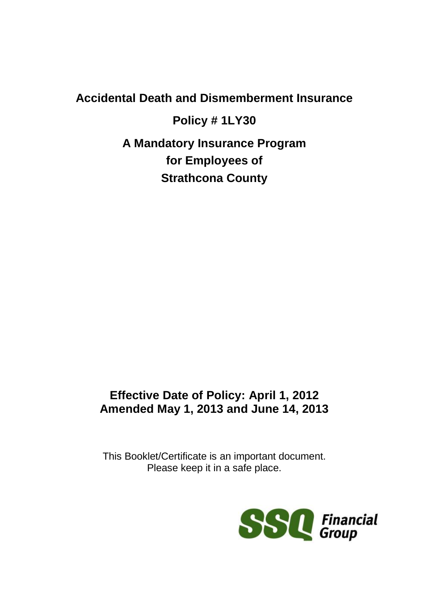# **Accidental Death and Dismemberment Insurance**

**Policy # 1LY30 A Mandatory Insurance Program for Employees of Strathcona County**

# **Effective Date of Policy: April 1, 2012 Amended May 1, 2013 and June 14, 2013**

This Booklet/Certificate is an important document. Please keep it in a safe place.

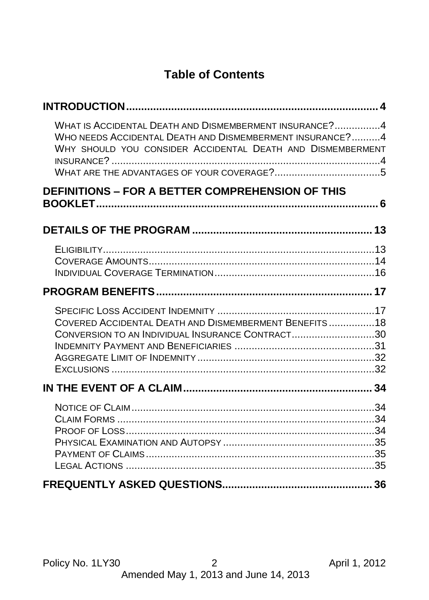# **Table of Contents**

| WHAT IS ACCIDENTAL DEATH AND DISMEMBERMENT INSURANCE?4<br>WHO NEEDS ACCIDENTAL DEATH AND DISMEMBERMENT INSURANCE?4<br>WHY SHOULD YOU CONSIDER ACCIDENTAL DEATH AND DISMEMBERMENT |  |
|----------------------------------------------------------------------------------------------------------------------------------------------------------------------------------|--|
| <b>DEFINITIONS - FOR A BETTER COMPREHENSION OF THIS</b>                                                                                                                          |  |
|                                                                                                                                                                                  |  |
|                                                                                                                                                                                  |  |
|                                                                                                                                                                                  |  |
| COVERED ACCIDENTAL DEATH AND DISMEMBERMENT BENEFITS18<br>CONVERSION TO AN INDIVIDUAL INSURANCE CONTRACT30                                                                        |  |
|                                                                                                                                                                                  |  |
|                                                                                                                                                                                  |  |
|                                                                                                                                                                                  |  |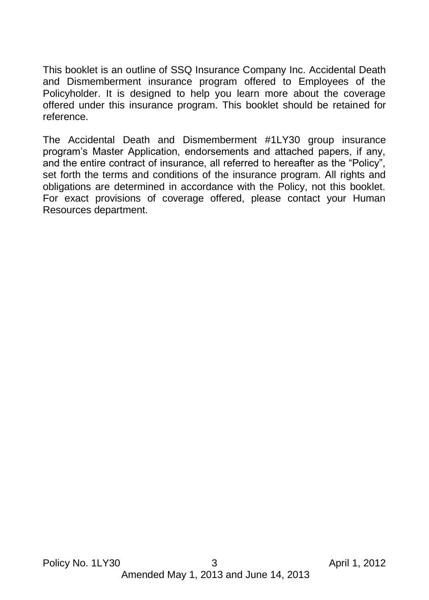This booklet is an outline of SSQ Insurance Company Inc. Accidental Death and Dismemberment insurance program offered to Employees of the Policyholder. It is designed to help you learn more about the coverage offered under this insurance program. This booklet should be retained for reference.

The Accidental Death and Dismemberment #1LY30 group insurance program's Master Application, endorsements and attached papers, if any, and the entire contract of insurance, all referred to hereafter as the "Policy", set forth the terms and conditions of the insurance program. All rights and obligations are determined in accordance with the Policy, not this booklet. For exact provisions of coverage offered, please contact your Human Resources department.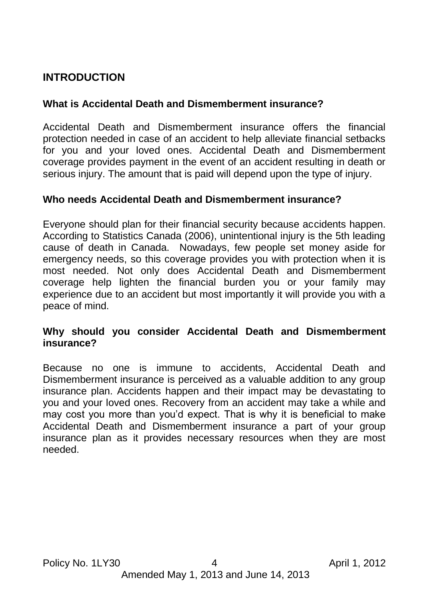# <span id="page-3-1"></span><span id="page-3-0"></span>**INTRODUCTION**

## **What is Accidental Death and Dismemberment insurance?**

Accidental Death and Dismemberment insurance offers the financial protection needed in case of an accident to help alleviate financial setbacks for you and your loved ones. Accidental Death and Dismemberment coverage provides payment in the event of an accident resulting in death or serious injury. The amount that is paid will depend upon the type of injury.

## <span id="page-3-2"></span>**Who needs Accidental Death and Dismemberment insurance?**

Everyone should plan for their financial security because accidents happen. According to Statistics Canada (2006), unintentional injury is the 5th leading cause of death in Canada. Nowadays, few people set money aside for emergency needs, so this coverage provides you with protection when it is most needed. Not only does Accidental Death and Dismemberment coverage help lighten the financial burden you or your family may experience due to an accident but most importantly it will provide you with a peace of mind.

#### <span id="page-3-3"></span>**Why should you consider Accidental Death and Dismemberment insurance?**

<span id="page-3-4"></span>Because no one is immune to accidents, Accidental Death and Dismemberment insurance is perceived as a valuable addition to any group insurance plan. Accidents happen and their impact may be devastating to you and your loved ones. Recovery from an accident may take a while and may cost you more than you'd expect. That is why it is beneficial to make Accidental Death and Dismemberment insurance a part of your group insurance plan as it provides necessary resources when they are most needed.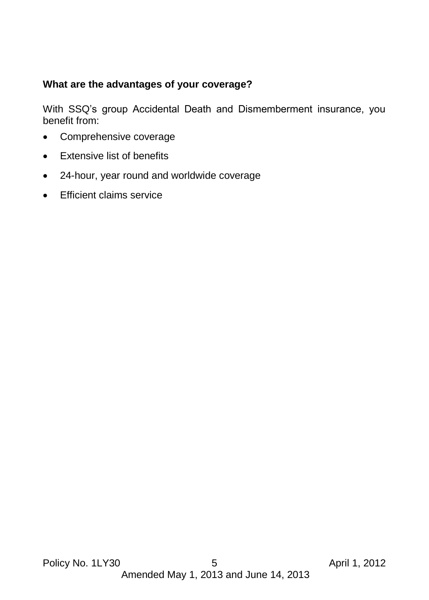## **What are the advantages of your coverage?**

With SSQ's group Accidental Death and Dismemberment insurance, you benefit from:

- Comprehensive coverage
- Extensive list of benefits
- 24-hour, year round and worldwide coverage
- **Efficient claims service**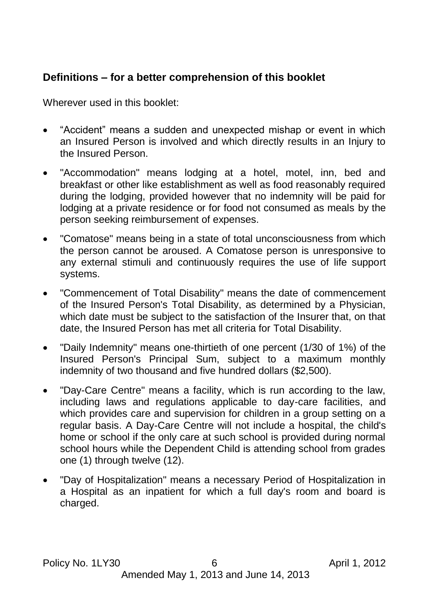# <span id="page-5-0"></span>**Definitions – for a better comprehension of this booklet**

Wherever used in this booklet:

- "Accident" means a sudden and unexpected mishap or event in which an Insured Person is involved and which directly results in an Injury to the Insured Person.
- "Accommodation" means lodging at a hotel, motel, inn, bed and breakfast or other like establishment as well as food reasonably required during the lodging, provided however that no indemnity will be paid for lodging at a private residence or for food not consumed as meals by the person seeking reimbursement of expenses.
- "Comatose" means being in a state of total unconsciousness from which the person cannot be aroused. A Comatose person is unresponsive to any external stimuli and continuously requires the use of life support systems.
- "Commencement of Total Disability" means the date of commencement of the Insured Person's Total Disability, as determined by a Physician, which date must be subject to the satisfaction of the Insurer that, on that date, the Insured Person has met all criteria for Total Disability.
- "Daily Indemnity" means one-thirtieth of one percent (1/30 of 1%) of the Insured Person's Principal Sum, subject to a maximum monthly indemnity of two thousand and five hundred dollars (\$2,500).
- "Day-Care Centre" means a facility, which is run according to the law, including laws and regulations applicable to day-care facilities, and which provides care and supervision for children in a group setting on a regular basis. A Day-Care Centre will not include a hospital, the child's home or school if the only care at such school is provided during normal school hours while the Dependent Child is attending school from grades one (1) through twelve (12).
- "Day of Hospitalization" means a necessary Period of Hospitalization in a Hospital as an inpatient for which a full day's room and board is charged.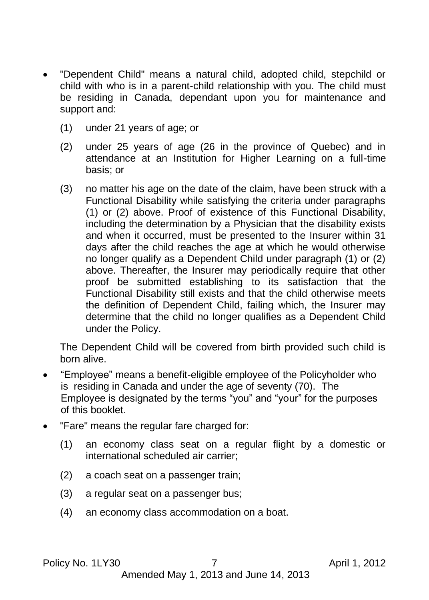- "Dependent Child" means a natural child, adopted child, stepchild or child with who is in a parent-child relationship with you. The child must be residing in Canada, dependant upon you for maintenance and support and:
	- (1) under 21 years of age; or
	- (2) under 25 years of age (26 in the province of Quebec) and in attendance at an Institution for Higher Learning on a full-time basis; or
	- (3) no matter his age on the date of the claim, have been struck with a Functional Disability while satisfying the criteria under paragraphs (1) or (2) above. Proof of existence of this Functional Disability, including the determination by a Physician that the disability exists and when it occurred, must be presented to the Insurer within 31 days after the child reaches the age at which he would otherwise no longer qualify as a Dependent Child under paragraph (1) or (2) above. Thereafter, the Insurer may periodically require that other proof be submitted establishing to its satisfaction that the Functional Disability still exists and that the child otherwise meets the definition of Dependent Child, failing which, the Insurer may determine that the child no longer qualifies as a Dependent Child under the Policy.

The Dependent Child will be covered from birth provided such child is born alive.

- "Employee" means a benefit-eligible employee of the Policyholder who is residing in Canada and under the age of seventy (70). The Employee is designated by the terms "you" and "your" for the purposes of this booklet.
- "Fare" means the regular fare charged for:
	- (1) an economy class seat on a regular flight by a domestic or international scheduled air carrier;
	- (2) a coach seat on a passenger train;
	- (3) a regular seat on a passenger bus;
	- (4) an economy class accommodation on a boat.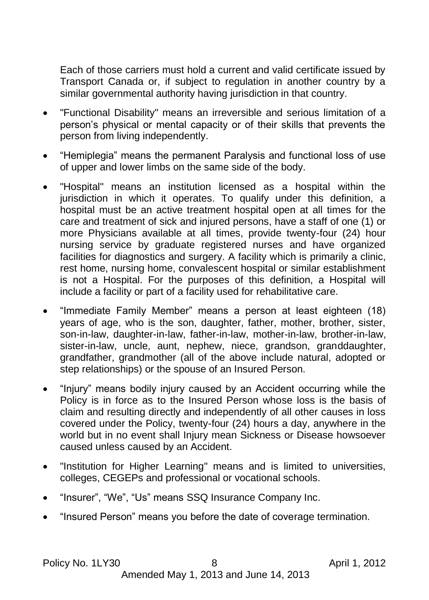Each of those carriers must hold a current and valid certificate issued by Transport Canada or, if subject to regulation in another country by a similar governmental authority having jurisdiction in that country.

- "Functional Disability" means an irreversible and serious limitation of a person's physical or mental capacity or of their skills that prevents the person from living independently.
- "Hemiplegia" means the permanent Paralysis and functional loss of use of upper and lower limbs on the same side of the body.
- "Hospital" means an institution licensed as a hospital within the jurisdiction in which it operates. To qualify under this definition, a hospital must be an active treatment hospital open at all times for the care and treatment of sick and injured persons, have a staff of one (1) or more Physicians available at all times, provide twenty-four (24) hour nursing service by graduate registered nurses and have organized facilities for diagnostics and surgery. A facility which is primarily a clinic, rest home, nursing home, convalescent hospital or similar establishment is not a Hospital. For the purposes of this definition, a Hospital will include a facility or part of a facility used for rehabilitative care.
- "Immediate Family Member" means a person at least eighteen (18) years of age, who is the son, daughter, father, mother, brother, sister, son-in-law, daughter-in-law, father-in-law, mother-in-law, brother-in-law, sister-in-law, uncle, aunt, nephew, niece, grandson, granddaughter, grandfather, grandmother (all of the above include natural, adopted or step relationships) or the spouse of an Insured Person.
- "Injury" means bodily injury caused by an Accident occurring while the Policy is in force as to the Insured Person whose loss is the basis of claim and resulting directly and independently of all other causes in loss covered under the Policy, twenty-four (24) hours a day, anywhere in the world but in no event shall Injury mean Sickness or Disease howsoever caused unless caused by an Accident.
- "Institution for Higher Learning" means and is limited to universities, colleges, CEGEPs and professional or vocational schools.
- "Insurer", "We", "Us" means SSQ Insurance Company Inc.
- "Insured Person" means you before the date of coverage termination.

Policy No. 1LY30 8 April 1, 2012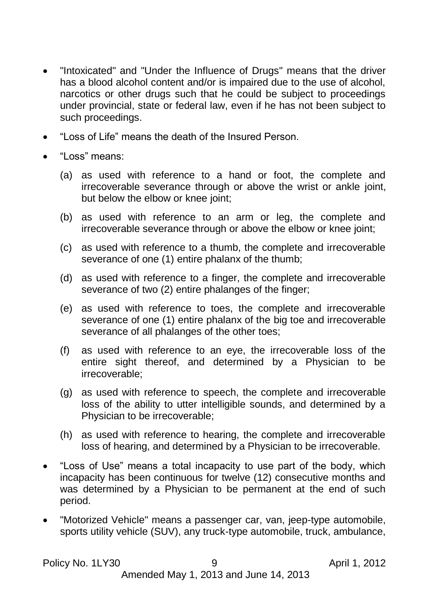- "Intoxicated" and "Under the Influence of Drugs" means that the driver has a blood alcohol content and/or is impaired due to the use of alcohol, narcotics or other drugs such that he could be subject to proceedings under provincial, state or federal law, even if he has not been subject to such proceedings.
- "Loss of Life" means the death of the Insured Person.
- "Loss" means:
	- (a) as used with reference to a hand or foot, the complete and irrecoverable severance through or above the wrist or ankle joint, but below the elbow or knee joint;
	- (b) as used with reference to an arm or leg, the complete and irrecoverable severance through or above the elbow or knee joint;
	- (c) as used with reference to a thumb, the complete and irrecoverable severance of one (1) entire phalanx of the thumb;
	- (d) as used with reference to a finger, the complete and irrecoverable severance of two (2) entire phalanges of the finger;
	- (e) as used with reference to toes, the complete and irrecoverable severance of one (1) entire phalanx of the big toe and irrecoverable severance of all phalanges of the other toes;
	- (f) as used with reference to an eye, the irrecoverable loss of the entire sight thereof, and determined by a Physician to be irrecoverable;
	- (g) as used with reference to speech, the complete and irrecoverable loss of the ability to utter intelligible sounds, and determined by a Physician to be irrecoverable;
	- (h) as used with reference to hearing, the complete and irrecoverable loss of hearing, and determined by a Physician to be irrecoverable.
- "Loss of Use" means a total incapacity to use part of the body, which incapacity has been continuous for twelve (12) consecutive months and was determined by a Physician to be permanent at the end of such period.
- "Motorized Vehicle" means a passenger car, van, jeep-type automobile, sports utility vehicle (SUV), any truck-type automobile, truck, ambulance,

Policy No. 1LY30 9 April 1, 2012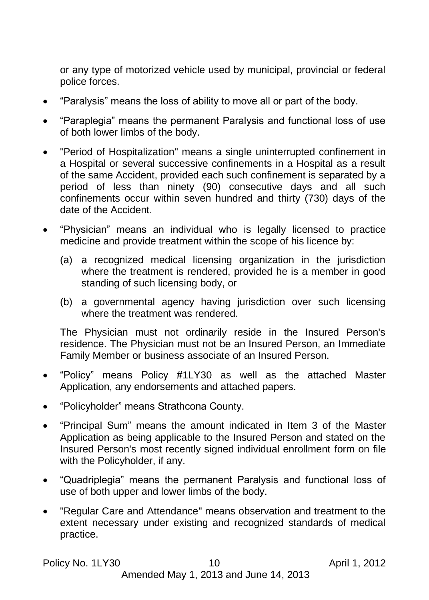or any type of motorized vehicle used by municipal, provincial or federal police forces.

- "Paralysis" means the loss of ability to move all or part of the body.
- "Paraplegia" means the permanent Paralysis and functional loss of use of both lower limbs of the body.
- "Period of Hospitalization" means a single uninterrupted confinement in a Hospital or several successive confinements in a Hospital as a result of the same Accident, provided each such confinement is separated by a period of less than ninety (90) consecutive days and all such confinements occur within seven hundred and thirty (730) days of the date of the Accident.
- "Physician" means an individual who is legally licensed to practice medicine and provide treatment within the scope of his licence by:
	- (a) a recognized medical licensing organization in the jurisdiction where the treatment is rendered, provided he is a member in good standing of such licensing body, or
	- (b) a governmental agency having jurisdiction over such licensing where the treatment was rendered.

The Physician must not ordinarily reside in the Insured Person's residence. The Physician must not be an Insured Person, an Immediate Family Member or business associate of an Insured Person.

- "Policy" means Policy #1LY30 as well as the attached Master Application, any endorsements and attached papers.
- "Policyholder" means Strathcona County.
- "Principal Sum" means the amount indicated in Item 3 of the Master Application as being applicable to the Insured Person and stated on the Insured Person's most recently signed individual enrollment form on file with the Policyholder, if any.
- "Quadriplegia" means the permanent Paralysis and functional loss of use of both upper and lower limbs of the body.
- "Regular Care and Attendance" means observation and treatment to the extent necessary under existing and recognized standards of medical practice.

#### Policy No. 1LY30 10 10 April 1, 2012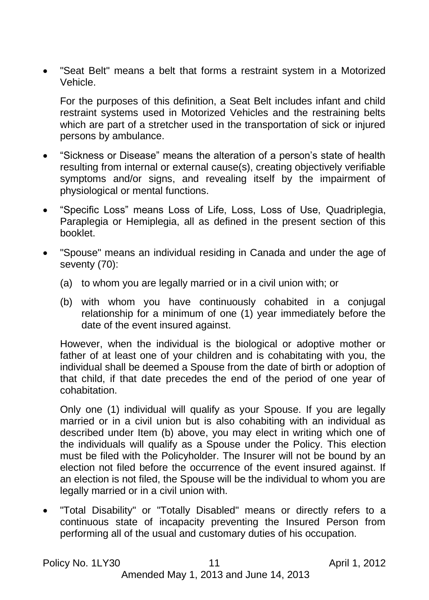"Seat Belt" means a belt that forms a restraint system in a Motorized Vehicle.

For the purposes of this definition, a Seat Belt includes infant and child restraint systems used in Motorized Vehicles and the restraining belts which are part of a stretcher used in the transportation of sick or injured persons by ambulance.

- "Sickness or Disease" means the alteration of a person's state of health resulting from internal or external cause(s), creating objectively verifiable symptoms and/or signs, and revealing itself by the impairment of physiological or mental functions.
- "Specific Loss" means Loss of Life, Loss, Loss of Use, Quadriplegia, Paraplegia or Hemiplegia, all as defined in the present section of this booklet.
- "Spouse" means an individual residing in Canada and under the age of seventy (70):
	- (a) to whom you are legally married or in a civil union with; or
	- (b) with whom you have continuously cohabited in a conjugal relationship for a minimum of one (1) year immediately before the date of the event insured against.

However, when the individual is the biological or adoptive mother or father of at least one of your children and is cohabitating with you, the individual shall be deemed a Spouse from the date of birth or adoption of that child, if that date precedes the end of the period of one year of cohabitation.

Only one (1) individual will qualify as your Spouse. If you are legally married or in a civil union but is also cohabiting with an individual as described under Item (b) above, you may elect in writing which one of the individuals will qualify as a Spouse under the Policy. This election must be filed with the Policyholder. The Insurer will not be bound by an election not filed before the occurrence of the event insured against. If an election is not filed, the Spouse will be the individual to whom you are legally married or in a civil union with.

 "Total Disability" or "Totally Disabled" means or directly refers to a continuous state of incapacity preventing the Insured Person from performing all of the usual and customary duties of his occupation.

Policy No. 1LY30 11 April 1, 2012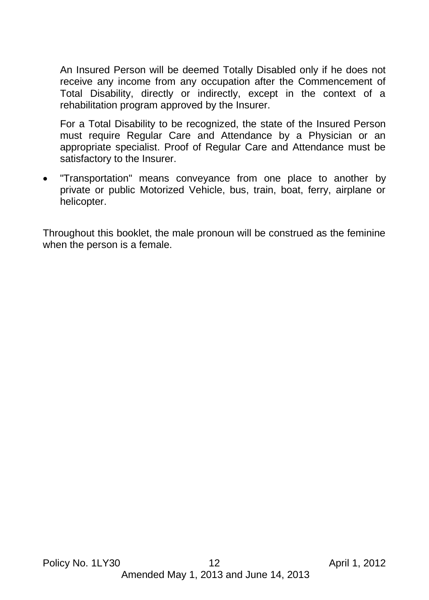An Insured Person will be deemed Totally Disabled only if he does not receive any income from any occupation after the Commencement of Total Disability, directly or indirectly, except in the context of a rehabilitation program approved by the Insurer.

For a Total Disability to be recognized, the state of the Insured Person must require Regular Care and Attendance by a Physician or an appropriate specialist. Proof of Regular Care and Attendance must be satisfactory to the Insurer.

 "Transportation" means conveyance from one place to another by private or public Motorized Vehicle, bus, train, boat, ferry, airplane or helicopter.

Throughout this booklet, the male pronoun will be construed as the feminine when the person is a female.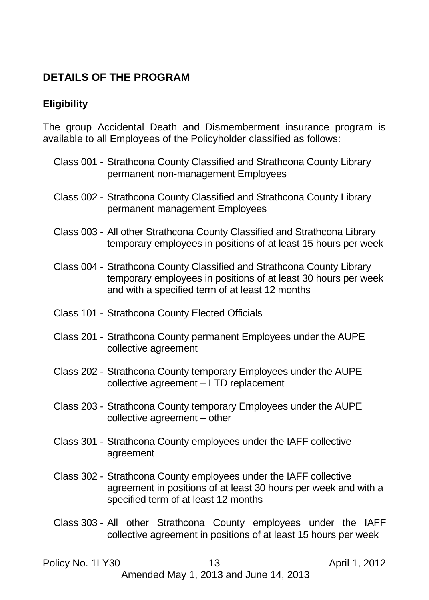# <span id="page-12-1"></span><span id="page-12-0"></span>**DETAILS OF THE PROGRAM**

## **Eligibility**

The group Accidental Death and Dismemberment insurance program is available to all Employees of the Policyholder classified as follows:

- Class 001 Strathcona County Classified and Strathcona County Library permanent non-management Employees
- Class 002 Strathcona County Classified and Strathcona County Library permanent management Employees
- Class 003 All other Strathcona County Classified and Strathcona Library temporary employees in positions of at least 15 hours per week
- Class 004 Strathcona County Classified and Strathcona County Library temporary employees in positions of at least 30 hours per week and with a specified term of at least 12 months
- Class 101 Strathcona County Elected Officials
- Class 201 Strathcona County permanent Employees under the AUPE collective agreement
- Class 202 Strathcona County temporary Employees under the AUPE collective agreement – LTD replacement
- Class 203 Strathcona County temporary Employees under the AUPE collective agreement – other
- Class 301 Strathcona County employees under the IAFF collective agreement
- Class 302 Strathcona County employees under the IAFF collective agreement in positions of at least 30 hours per week and with a specified term of at least 12 months
- Class 303 All other Strathcona County employees under the IAFF collective agreement in positions of at least 15 hours per week

#### <span id="page-12-2"></span>Policy No. 1LY30 13 13 April 1, 2012

Amended May 1, 2013 and June 14, 2013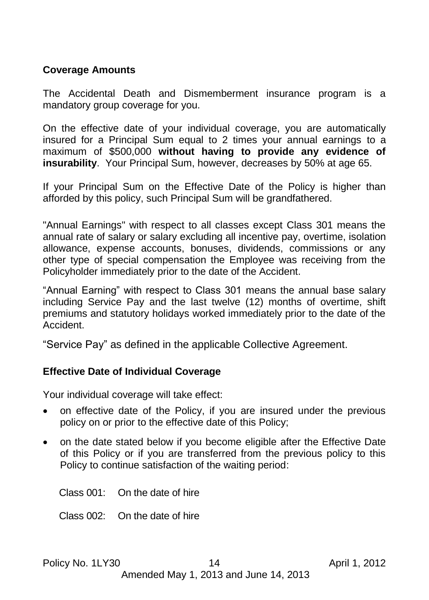#### **Coverage Amounts**

The Accidental Death and Dismemberment insurance program is a mandatory group coverage for you.

On the effective date of your individual coverage, you are automatically insured for a Principal Sum equal to 2 times your annual earnings to a maximum of \$500,000 **without having to provide any evidence of insurability**. Your Principal Sum, however, decreases by 50% at age 65.

If your Principal Sum on the Effective Date of the Policy is higher than afforded by this policy, such Principal Sum will be grandfathered.

"Annual Earnings" with respect to all classes except Class 301 means the annual rate of salary or salary excluding all incentive pay, overtime, isolation allowance, expense accounts, bonuses, dividends, commissions or any other type of special compensation the Employee was receiving from the Policyholder immediately prior to the date of the Accident.

"Annual Earning" with respect to Class 301 means the annual base salary including Service Pay and the last twelve (12) months of overtime, shift premiums and statutory holidays worked immediately prior to the date of the Accident.

"Service Pay" as defined in the applicable Collective Agreement.

#### **Effective Date of Individual Coverage**

Your individual coverage will take effect:

- on effective date of the Policy, if you are insured under the previous policy on or prior to the effective date of this Policy;
- on the date stated below if you become eligible after the Effective Date of this Policy or if you are transferred from the previous policy to this Policy to continue satisfaction of the waiting period:

Class 001: On the date of hire

Class 002: On the date of hire

Policy No. 1LY30 14 14 April 1, 2012 Amended May 1, 2013 and June 14, 2013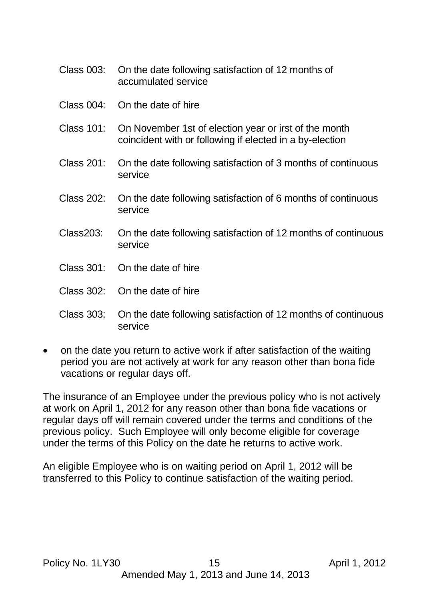- Class 003: On the date following satisfaction of 12 months of accumulated service
- Class 004: On the date of hire
- Class 101: On November 1st of election year or irst of the month coincident with or following if elected in a by-election
- Class 201: On the date following satisfaction of 3 months of continuous service
- Class 202: On the date following satisfaction of 6 months of continuous service
- Class203: On the date following satisfaction of 12 months of continuous service
- Class 301: On the date of hire
- Class 302: On the date of hire
- Class 303: On the date following satisfaction of 12 months of continuous service
- on the date you return to active work if after satisfaction of the waiting period you are not actively at work for any reason other than bona fide vacations or regular days off.

The insurance of an Employee under the previous policy who is not actively at work on April 1, 2012 for any reason other than bona fide vacations or regular days off will remain covered under the terms and conditions of the previous policy. Such Employee will only become eligible for coverage under the terms of this Policy on the date he returns to active work.

<span id="page-14-0"></span>An eligible Employee who is on waiting period on April 1, 2012 will be transferred to this Policy to continue satisfaction of the waiting period.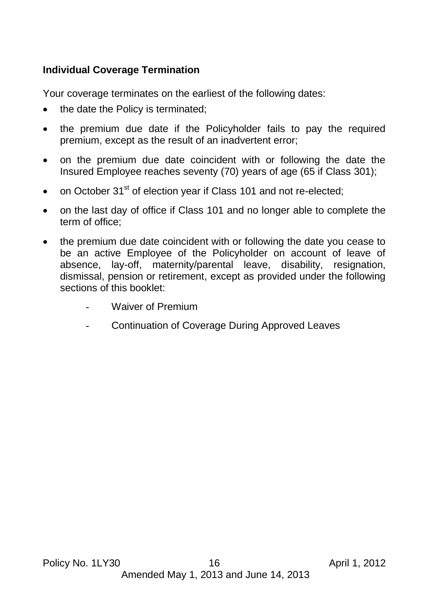## **Individual Coverage Termination**

Your coverage terminates on the earliest of the following dates:

- the date the Policy is terminated;
- the premium due date if the Policyholder fails to pay the required premium, except as the result of an inadvertent error;
- on the premium due date coincident with or following the date the Insured Employee reaches seventy (70) years of age (65 if Class 301);
- on October  $31<sup>st</sup>$  of election year if Class 101 and not re-elected:
- on the last day of office if Class 101 and no longer able to complete the term of office;
- the premium due date coincident with or following the date you cease to be an active Employee of the Policyholder on account of leave of absence, lay-off, maternity/parental leave, disability, resignation, dismissal, pension or retirement, except as provided under the following sections of this booklet:
	- Waiver of Premium
	- Continuation of Coverage During Approved Leaves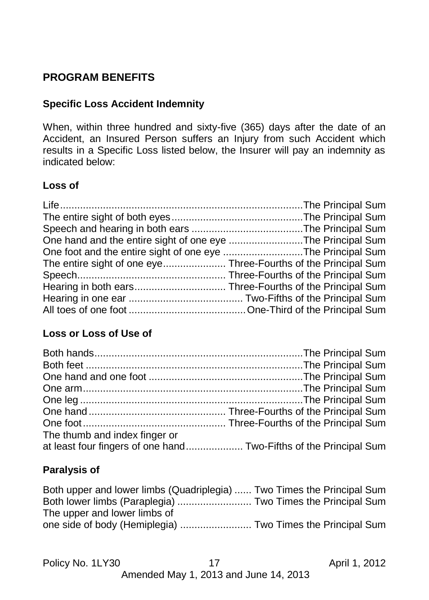# <span id="page-16-1"></span><span id="page-16-0"></span>**PROGRAM BENEFITS**

# **Specific Loss Accident Indemnity**

When, within three hundred and sixty-five (365) days after the date of an Accident, an Insured Person suffers an Injury from such Accident which results in a Specific Loss listed below, the Insurer will pay an indemnity as indicated below:

## **Loss of**

| One hand and the entire sight of one eye The Principal Sum |  |
|------------------------------------------------------------|--|
| One foot and the entire sight of one eye The Principal Sum |  |
|                                                            |  |
|                                                            |  |
|                                                            |  |
|                                                            |  |
|                                                            |  |

# **Loss or Loss of Use of**

| The thumb and index finger or                                     |  |
|-------------------------------------------------------------------|--|
| at least four fingers of one hand Two-Fifths of the Principal Sum |  |

## **Paralysis of**

| Both upper and lower limbs (Quadriplegia)  Two Times the Principal Sum |  |  |
|------------------------------------------------------------------------|--|--|
| Both lower limbs (Paraplegia)  Two Times the Principal Sum             |  |  |
| The upper and lower limbs of                                           |  |  |
| one side of body (Hemiplegia)  Two Times the Principal Sum             |  |  |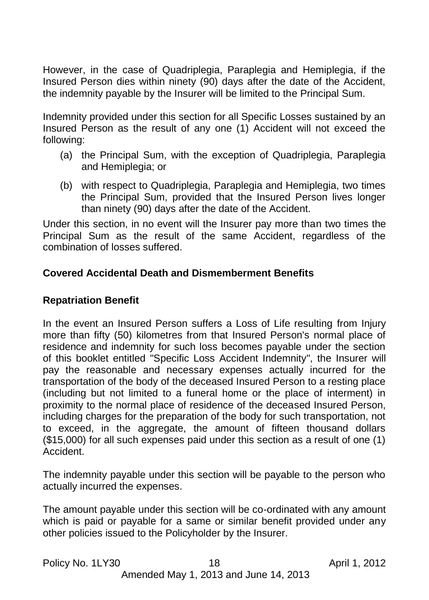However, in the case of Quadriplegia, Paraplegia and Hemiplegia, if the Insured Person dies within ninety (90) days after the date of the Accident, the indemnity payable by the Insurer will be limited to the Principal Sum.

Indemnity provided under this section for all Specific Losses sustained by an Insured Person as the result of any one (1) Accident will not exceed the following:

- (a) the Principal Sum, with the exception of Quadriplegia, Paraplegia and Hemiplegia; or
- (b) with respect to Quadriplegia, Paraplegia and Hemiplegia, two times the Principal Sum, provided that the Insured Person lives longer than ninety (90) days after the date of the Accident.

Under this section, in no event will the Insurer pay more than two times the Principal Sum as the result of the same Accident, regardless of the combination of losses suffered.

## <span id="page-17-0"></span>**Covered Accidental Death and Dismemberment Benefits**

## **Repatriation Benefit**

In the event an Insured Person suffers a Loss of Life resulting from Injury more than fifty (50) kilometres from that Insured Person's normal place of residence and indemnity for such loss becomes payable under the section of this booklet entitled "Specific Loss Accident Indemnity", the Insurer will pay the reasonable and necessary expenses actually incurred for the transportation of the body of the deceased Insured Person to a resting place (including but not limited to a funeral home or the place of interment) in proximity to the normal place of residence of the deceased Insured Person, including charges for the preparation of the body for such transportation, not to exceed, in the aggregate, the amount of fifteen thousand dollars (\$15,000) for all such expenses paid under this section as a result of one (1) Accident.

The indemnity payable under this section will be payable to the person who actually incurred the expenses.

The amount payable under this section will be co-ordinated with any amount which is paid or payable for a same or similar benefit provided under any other policies issued to the Policyholder by the Insurer.

| Policy No. 1LY30 |  |  |
|------------------|--|--|
|------------------|--|--|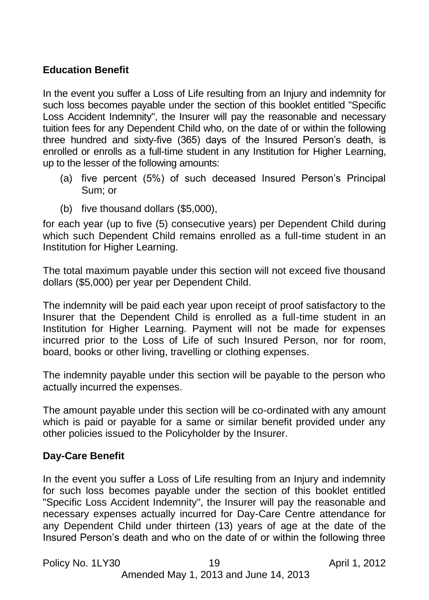## **Education Benefit**

In the event you suffer a Loss of Life resulting from an Injury and indemnity for such loss becomes payable under the section of this booklet entitled "Specific Loss Accident Indemnity", the Insurer will pay the reasonable and necessary tuition fees for any Dependent Child who, on the date of or within the following three hundred and sixty-five (365) days of the Insured Person's death, is enrolled or enrolls as a full-time student in any Institution for Higher Learning, up to the lesser of the following amounts:

- (a) five percent (5%) of such deceased Insured Person's Principal Sum; or
- (b) five thousand dollars (\$5,000),

for each year (up to five (5) consecutive years) per Dependent Child during which such Dependent Child remains enrolled as a full-time student in an Institution for Higher Learning.

The total maximum payable under this section will not exceed five thousand dollars (\$5,000) per year per Dependent Child.

The indemnity will be paid each year upon receipt of proof satisfactory to the Insurer that the Dependent Child is enrolled as a full-time student in an Institution for Higher Learning. Payment will not be made for expenses incurred prior to the Loss of Life of such Insured Person, nor for room, board, books or other living, travelling or clothing expenses.

The indemnity payable under this section will be payable to the person who actually incurred the expenses.

The amount payable under this section will be co-ordinated with any amount which is paid or payable for a same or similar benefit provided under any other policies issued to the Policyholder by the Insurer.

## **Day-Care Benefit**

In the event you suffer a Loss of Life resulting from an Injury and indemnity for such loss becomes payable under the section of this booklet entitled "Specific Loss Accident Indemnity", the Insurer will pay the reasonable and necessary expenses actually incurred for Day-Care Centre attendance for any Dependent Child under thirteen (13) years of age at the date of the Insured Person's death and who on the date of or within the following three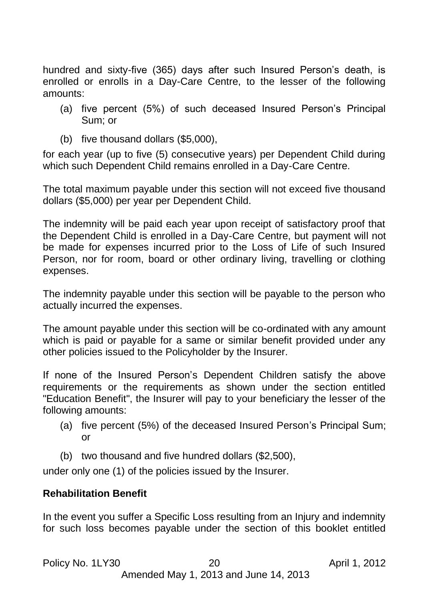hundred and sixty-five (365) days after such Insured Person's death, is enrolled or enrolls in a Day-Care Centre, to the lesser of the following amounts:

- (a) five percent (5%) of such deceased Insured Person's Principal Sum; or
- (b) five thousand dollars (\$5,000),

for each year (up to five (5) consecutive years) per Dependent Child during which such Dependent Child remains enrolled in a Day-Care Centre.

The total maximum payable under this section will not exceed five thousand dollars (\$5,000) per year per Dependent Child.

The indemnity will be paid each year upon receipt of satisfactory proof that the Dependent Child is enrolled in a Day-Care Centre, but payment will not be made for expenses incurred prior to the Loss of Life of such Insured Person, nor for room, board or other ordinary living, travelling or clothing expenses.

The indemnity payable under this section will be payable to the person who actually incurred the expenses.

The amount payable under this section will be co-ordinated with any amount which is paid or payable for a same or similar benefit provided under any other policies issued to the Policyholder by the Insurer.

If none of the Insured Person's Dependent Children satisfy the above requirements or the requirements as shown under the section entitled "Education Benefit", the Insurer will pay to your beneficiary the lesser of the following amounts:

- (a) five percent (5%) of the deceased Insured Person's Principal Sum; or
- (b) two thousand and five hundred dollars (\$2,500),

under only one (1) of the policies issued by the Insurer.

## **Rehabilitation Benefit**

In the event you suffer a Specific Loss resulting from an Injury and indemnity for such loss becomes payable under the section of this booklet entitled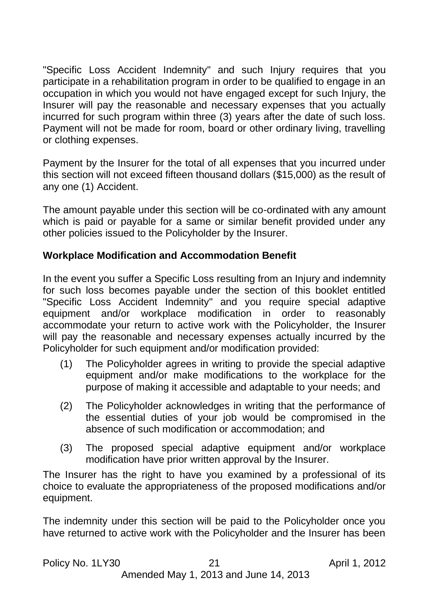"Specific Loss Accident Indemnity" and such Injury requires that you participate in a rehabilitation program in order to be qualified to engage in an occupation in which you would not have engaged except for such Injury, the Insurer will pay the reasonable and necessary expenses that you actually incurred for such program within three (3) years after the date of such loss. Payment will not be made for room, board or other ordinary living, travelling or clothing expenses.

Payment by the Insurer for the total of all expenses that you incurred under this section will not exceed fifteen thousand dollars (\$15,000) as the result of any one (1) Accident.

The amount payable under this section will be co-ordinated with any amount which is paid or payable for a same or similar benefit provided under any other policies issued to the Policyholder by the Insurer.

## **Workplace Modification and Accommodation Benefit**

In the event you suffer a Specific Loss resulting from an Injury and indemnity for such loss becomes payable under the section of this booklet entitled "Specific Loss Accident Indemnity" and you require special adaptive equipment and/or workplace modification in order to reasonably accommodate your return to active work with the Policyholder, the Insurer will pay the reasonable and necessary expenses actually incurred by the Policyholder for such equipment and/or modification provided:

- (1) The Policyholder agrees in writing to provide the special adaptive equipment and/or make modifications to the workplace for the purpose of making it accessible and adaptable to your needs; and
- (2) The Policyholder acknowledges in writing that the performance of the essential duties of your job would be compromised in the absence of such modification or accommodation; and
- (3) The proposed special adaptive equipment and/or workplace modification have prior written approval by the Insurer.

The Insurer has the right to have you examined by a professional of its choice to evaluate the appropriateness of the proposed modifications and/or equipment.

The indemnity under this section will be paid to the Policyholder once you have returned to active work with the Policyholder and the Insurer has been

```
Policy No. 1LY30 21 April 1, 2012
```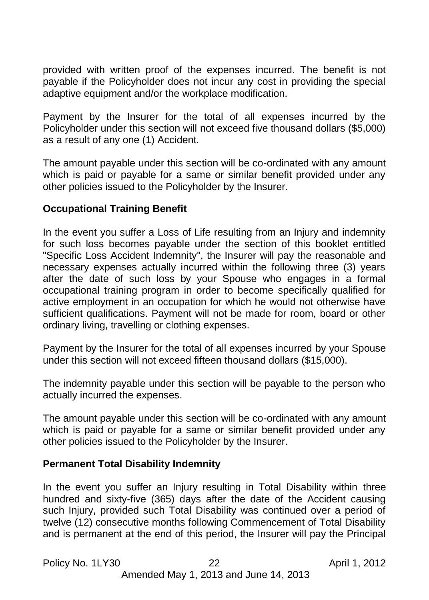provided with written proof of the expenses incurred. The benefit is not payable if the Policyholder does not incur any cost in providing the special adaptive equipment and/or the workplace modification.

Payment by the Insurer for the total of all expenses incurred by the Policyholder under this section will not exceed five thousand dollars (\$5,000) as a result of any one (1) Accident.

The amount payable under this section will be co-ordinated with any amount which is paid or payable for a same or similar benefit provided under any other policies issued to the Policyholder by the Insurer.

## **Occupational Training Benefit**

In the event you suffer a Loss of Life resulting from an Injury and indemnity for such loss becomes payable under the section of this booklet entitled "Specific Loss Accident Indemnity", the Insurer will pay the reasonable and necessary expenses actually incurred within the following three (3) years after the date of such loss by your Spouse who engages in a formal occupational training program in order to become specifically qualified for active employment in an occupation for which he would not otherwise have sufficient qualifications. Payment will not be made for room, board or other ordinary living, travelling or clothing expenses.

Payment by the Insurer for the total of all expenses incurred by your Spouse under this section will not exceed fifteen thousand dollars (\$15,000).

The indemnity payable under this section will be payable to the person who actually incurred the expenses.

The amount payable under this section will be co-ordinated with any amount which is paid or payable for a same or similar benefit provided under any other policies issued to the Policyholder by the Insurer.

#### **Permanent Total Disability Indemnity**

In the event you suffer an Injury resulting in Total Disability within three hundred and sixty-five (365) days after the date of the Accident causing such Injury, provided such Total Disability was continued over a period of twelve (12) consecutive months following Commencement of Total Disability and is permanent at the end of this period, the Insurer will pay the Principal

Policy No. 1LY30 22 April 1, 2012 Amended May 1, 2013 and June 14, 2013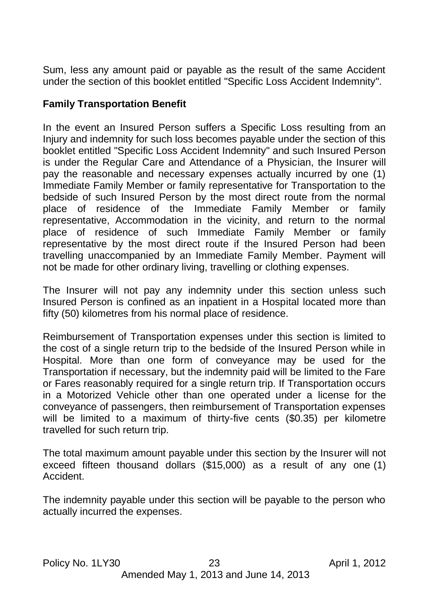Sum, less any amount paid or payable as the result of the same Accident under the section of this booklet entitled "Specific Loss Accident Indemnity".

## **Family Transportation Benefit**

In the event an Insured Person suffers a Specific Loss resulting from an Injury and indemnity for such loss becomes payable under the section of this booklet entitled "Specific Loss Accident Indemnity" and such Insured Person is under the Regular Care and Attendance of a Physician, the Insurer will pay the reasonable and necessary expenses actually incurred by one (1) Immediate Family Member or family representative for Transportation to the bedside of such Insured Person by the most direct route from the normal place of residence of the Immediate Family Member or family representative, Accommodation in the vicinity, and return to the normal place of residence of such Immediate Family Member or family representative by the most direct route if the Insured Person had been travelling unaccompanied by an Immediate Family Member. Payment will not be made for other ordinary living, travelling or clothing expenses.

The Insurer will not pay any indemnity under this section unless such Insured Person is confined as an inpatient in a Hospital located more than fifty (50) kilometres from his normal place of residence.

Reimbursement of Transportation expenses under this section is limited to the cost of a single return trip to the bedside of the Insured Person while in Hospital. More than one form of conveyance may be used for the Transportation if necessary, but the indemnity paid will be limited to the Fare or Fares reasonably required for a single return trip. If Transportation occurs in a Motorized Vehicle other than one operated under a license for the conveyance of passengers, then reimbursement of Transportation expenses will be limited to a maximum of thirty-five cents (\$0.35) per kilometre travelled for such return trip.

The total maximum amount payable under this section by the Insurer will not exceed fifteen thousand dollars (\$15,000) as a result of any one (1) Accident.

The indemnity payable under this section will be payable to the person who actually incurred the expenses.

Policy No. 1LY30 23 April 1, 2012 Amended May 1, 2013 and June 14, 2013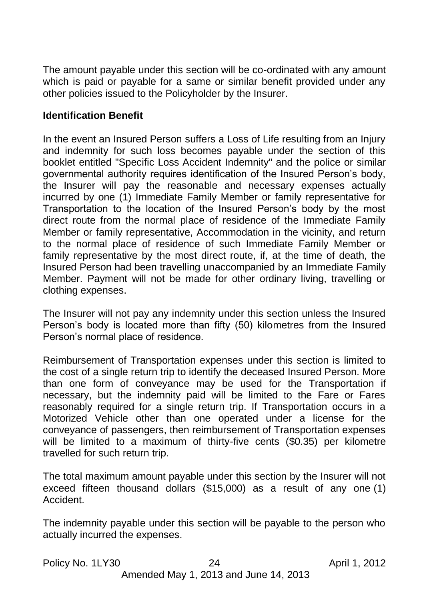The amount payable under this section will be co-ordinated with any amount which is paid or payable for a same or similar benefit provided under any other policies issued to the Policyholder by the Insurer.

#### **Identification Benefit**

In the event an Insured Person suffers a Loss of Life resulting from an Injury and indemnity for such loss becomes payable under the section of this booklet entitled "Specific Loss Accident Indemnity" and the police or similar governmental authority requires identification of the Insured Person's body, the Insurer will pay the reasonable and necessary expenses actually incurred by one (1) Immediate Family Member or family representative for Transportation to the location of the Insured Person's body by the most direct route from the normal place of residence of the Immediate Family Member or family representative, Accommodation in the vicinity, and return to the normal place of residence of such Immediate Family Member or family representative by the most direct route, if, at the time of death, the Insured Person had been travelling unaccompanied by an Immediate Family Member. Payment will not be made for other ordinary living, travelling or clothing expenses.

The Insurer will not pay any indemnity under this section unless the Insured Person's body is located more than fifty (50) kilometres from the Insured Person's normal place of residence.

Reimbursement of Transportation expenses under this section is limited to the cost of a single return trip to identify the deceased Insured Person. More than one form of conveyance may be used for the Transportation if necessary, but the indemnity paid will be limited to the Fare or Fares reasonably required for a single return trip. If Transportation occurs in a Motorized Vehicle other than one operated under a license for the conveyance of passengers, then reimbursement of Transportation expenses will be limited to a maximum of thirty-five cents (\$0.35) per kilometre travelled for such return trip.

The total maximum amount payable under this section by the Insurer will not exceed fifteen thousand dollars (\$15,000) as a result of any one (1) Accident.

The indemnity payable under this section will be payable to the person who actually incurred the expenses.

Policy No. 1LY30 24 April 1, 2012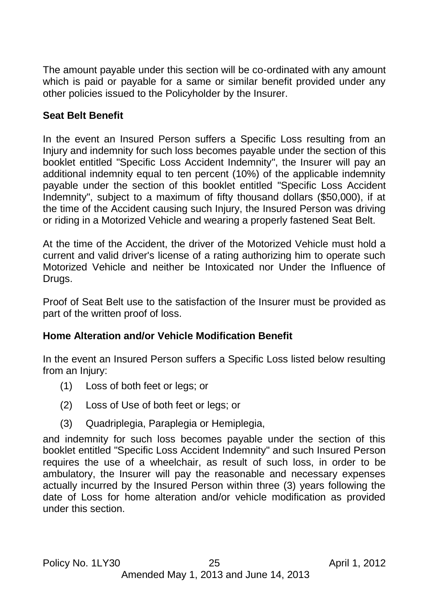The amount payable under this section will be co-ordinated with any amount which is paid or payable for a same or similar benefit provided under any other policies issued to the Policyholder by the Insurer.

## **Seat Belt Benefit**

In the event an Insured Person suffers a Specific Loss resulting from an Injury and indemnity for such loss becomes payable under the section of this booklet entitled "Specific Loss Accident Indemnity", the Insurer will pay an additional indemnity equal to ten percent (10%) of the applicable indemnity payable under the section of this booklet entitled "Specific Loss Accident Indemnity", subject to a maximum of fifty thousand dollars (\$50,000), if at the time of the Accident causing such Injury, the Insured Person was driving or riding in a Motorized Vehicle and wearing a properly fastened Seat Belt.

At the time of the Accident, the driver of the Motorized Vehicle must hold a current and valid driver's license of a rating authorizing him to operate such Motorized Vehicle and neither be Intoxicated nor Under the Influence of Drugs.

Proof of Seat Belt use to the satisfaction of the Insurer must be provided as part of the written proof of loss.

### **Home Alteration and/or Vehicle Modification Benefit**

In the event an Insured Person suffers a Specific Loss listed below resulting from an Injury:

- (1) Loss of both feet or legs; or
- (2) Loss of Use of both feet or legs; or
- (3) Quadriplegia, Paraplegia or Hemiplegia,

and indemnity for such loss becomes payable under the section of this booklet entitled "Specific Loss Accident Indemnity" and such Insured Person requires the use of a wheelchair, as result of such loss, in order to be ambulatory, the Insurer will pay the reasonable and necessary expenses actually incurred by the Insured Person within three (3) years following the date of Loss for home alteration and/or vehicle modification as provided under this section.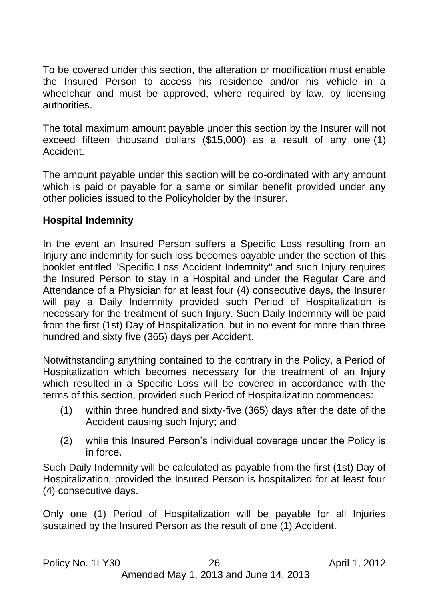To be covered under this section, the alteration or modification must enable the Insured Person to access his residence and/or his vehicle in a wheelchair and must be approved, where required by law, by licensing authorities.

The total maximum amount payable under this section by the Insurer will not exceed fifteen thousand dollars (\$15,000) as a result of any one (1) Accident.

The amount payable under this section will be co-ordinated with any amount which is paid or payable for a same or similar benefit provided under any other policies issued to the Policyholder by the Insurer.

## **Hospital Indemnity**

In the event an Insured Person suffers a Specific Loss resulting from an Injury and indemnity for such loss becomes payable under the section of this booklet entitled "Specific Loss Accident Indemnity" and such Injury requires the Insured Person to stay in a Hospital and under the Regular Care and Attendance of a Physician for at least four (4) consecutive days, the Insurer will pay a Daily Indemnity provided such Period of Hospitalization is necessary for the treatment of such Injury. Such Daily Indemnity will be paid from the first (1st) Day of Hospitalization, but in no event for more than three hundred and sixty five (365) days per Accident.

Notwithstanding anything contained to the contrary in the Policy, a Period of Hospitalization which becomes necessary for the treatment of an Injury which resulted in a Specific Loss will be covered in accordance with the terms of this section, provided such Period of Hospitalization commences:

- (1) within three hundred and sixty-five (365) days after the date of the Accident causing such Injury; and
- (2) while this Insured Person's individual coverage under the Policy is in force.

Such Daily Indemnity will be calculated as payable from the first (1st) Day of Hospitalization, provided the Insured Person is hospitalized for at least four (4) consecutive days.

Only one (1) Period of Hospitalization will be payable for all Injuries sustained by the Insured Person as the result of one (1) Accident.

#### Policy No. 1LY30 26 April 1, 2012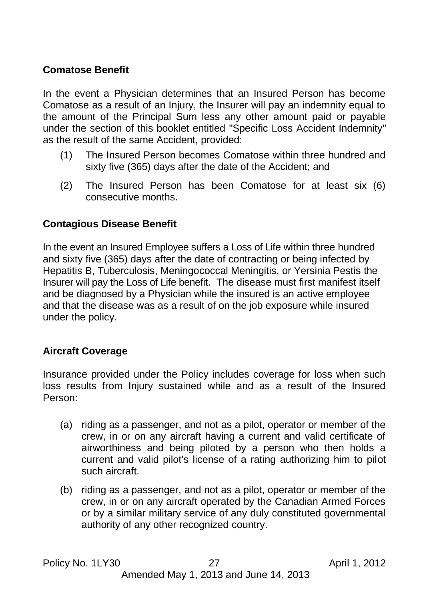## **Comatose Benefit**

In the event a Physician determines that an Insured Person has become Comatose as a result of an Injury, the Insurer will pay an indemnity equal to the amount of the Principal Sum less any other amount paid or payable under the section of this booklet entitled "Specific Loss Accident Indemnity" as the result of the same Accident, provided:

- (1) The Insured Person becomes Comatose within three hundred and sixty five (365) days after the date of the Accident; and
- (2) The Insured Person has been Comatose for at least six (6) consecutive months.

## **Contagious Disease Benefit**

In the event an Insured Employee suffers a Loss of Life within three hundred and sixty five (365) days after the date of contracting or being infected by Hepatitis B, Tuberculosis, Meningococcal Meningitis, or Yersinia Pestis the Insurer will pay the Loss of Life benefit. The disease must first manifest itself and be diagnosed by a Physician while the insured is an active employee and that the disease was as a result of on the job exposure while insured under the policy.

#### **Aircraft Coverage**

Insurance provided under the Policy includes coverage for loss when such loss results from Injury sustained while and as a result of the Insured Person:

- (a) riding as a passenger, and not as a pilot, operator or member of the crew, in or on any aircraft having a current and valid certificate of airworthiness and being piloted by a person who then holds a current and valid pilot's license of a rating authorizing him to pilot such aircraft.
- (b) riding as a passenger, and not as a pilot, operator or member of the crew, in or on any aircraft operated by the Canadian Armed Forces or by a similar military service of any duly constituted governmental authority of any other recognized country.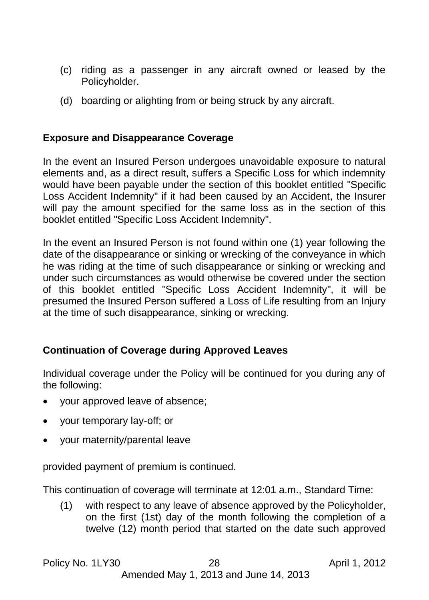- (c) riding as a passenger in any aircraft owned or leased by the Policyholder.
- (d) boarding or alighting from or being struck by any aircraft.

#### **Exposure and Disappearance Coverage**

In the event an Insured Person undergoes unavoidable exposure to natural elements and, as a direct result, suffers a Specific Loss for which indemnity would have been payable under the section of this booklet entitled "Specific Loss Accident Indemnity" if it had been caused by an Accident, the Insurer will pay the amount specified for the same loss as in the section of this booklet entitled "Specific Loss Accident Indemnity".

In the event an Insured Person is not found within one (1) year following the date of the disappearance or sinking or wrecking of the conveyance in which he was riding at the time of such disappearance or sinking or wrecking and under such circumstances as would otherwise be covered under the section of this booklet entitled "Specific Loss Accident Indemnity", it will be presumed the Insured Person suffered a Loss of Life resulting from an Injury at the time of such disappearance, sinking or wrecking.

## **Continuation of Coverage during Approved Leaves**

Individual coverage under the Policy will be continued for you during any of the following:

- your approved leave of absence;
- your temporary lay-off; or
- your maternity/parental leave

provided payment of premium is continued.

This continuation of coverage will terminate at 12:01 a.m., Standard Time:

(1) with respect to any leave of absence approved by the Policyholder, on the first (1st) day of the month following the completion of a twelve (12) month period that started on the date such approved

Amended May 1, 2013 and June 14, 2013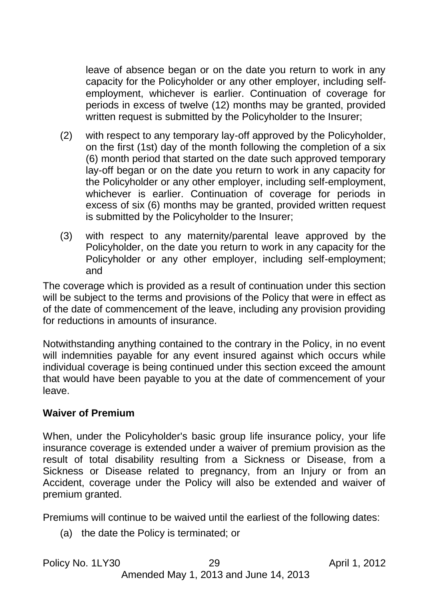leave of absence began or on the date you return to work in any capacity for the Policyholder or any other employer, including selfemployment, whichever is earlier. Continuation of coverage for periods in excess of twelve (12) months may be granted, provided written request is submitted by the Policyholder to the Insurer;

- (2) with respect to any temporary lay-off approved by the Policyholder, on the first (1st) day of the month following the completion of a six (6) month period that started on the date such approved temporary lay-off began or on the date you return to work in any capacity for the Policyholder or any other employer, including self-employment, whichever is earlier. Continuation of coverage for periods in excess of six (6) months may be granted, provided written request is submitted by the Policyholder to the Insurer;
- (3) with respect to any maternity/parental leave approved by the Policyholder, on the date you return to work in any capacity for the Policyholder or any other employer, including self-employment; and

The coverage which is provided as a result of continuation under this section will be subject to the terms and provisions of the Policy that were in effect as of the date of commencement of the leave, including any provision providing for reductions in amounts of insurance.

Notwithstanding anything contained to the contrary in the Policy, in no event will indemnities payable for any event insured against which occurs while individual coverage is being continued under this section exceed the amount that would have been payable to you at the date of commencement of your leave.

#### **Waiver of Premium**

When, under the Policyholder's basic group life insurance policy, your life insurance coverage is extended under a waiver of premium provision as the result of total disability resulting from a Sickness or Disease, from a Sickness or Disease related to pregnancy, from an Injury or from an Accident, coverage under the Policy will also be extended and waiver of premium granted.

Premiums will continue to be waived until the earliest of the following dates:

(a) the date the Policy is terminated; or

| Policy No. 1LY30 | 29                                    | April 1, 2012 |
|------------------|---------------------------------------|---------------|
|                  | Amended May 1, 2013 and June 14, 2013 |               |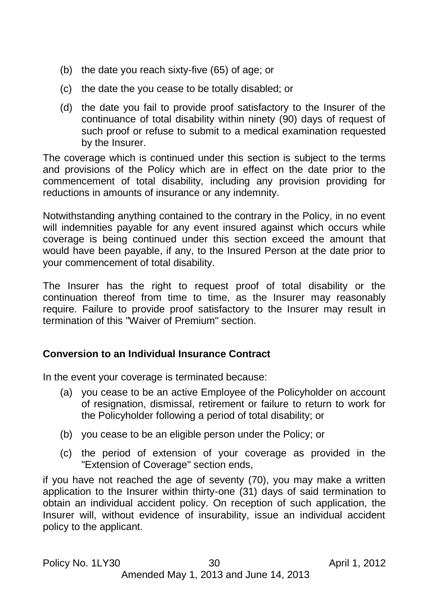- (b) the date you reach sixty-five (65) of age; or
- (c) the date the you cease to be totally disabled; or
- (d) the date you fail to provide proof satisfactory to the Insurer of the continuance of total disability within ninety (90) days of request of such proof or refuse to submit to a medical examination requested by the Insurer.

The coverage which is continued under this section is subject to the terms and provisions of the Policy which are in effect on the date prior to the commencement of total disability, including any provision providing for reductions in amounts of insurance or any indemnity.

Notwithstanding anything contained to the contrary in the Policy, in no event will indemnities payable for any event insured against which occurs while coverage is being continued under this section exceed the amount that would have been payable, if any, to the Insured Person at the date prior to your commencement of total disability.

The Insurer has the right to request proof of total disability or the continuation thereof from time to time, as the Insurer may reasonably require. Failure to provide proof satisfactory to the Insurer may result in termination of this "Waiver of Premium" section.

#### <span id="page-29-0"></span>**Conversion to an Individual Insurance Contract**

In the event your coverage is terminated because:

- (a) you cease to be an active Employee of the Policyholder on account of resignation, dismissal, retirement or failure to return to work for the Policyholder following a period of total disability; or
- (b) you cease to be an eligible person under the Policy; or
- (c) the period of extension of your coverage as provided in the "Extension of Coverage" section ends,

if you have not reached the age of seventy (70), you may make a written application to the Insurer within thirty-one (31) days of said termination to obtain an individual accident policy. On reception of such application, the Insurer will, without evidence of insurability, issue an individual accident policy to the applicant.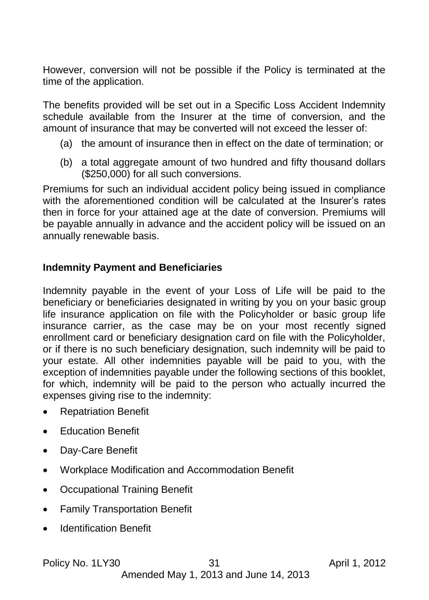However, conversion will not be possible if the Policy is terminated at the time of the application.

The benefits provided will be set out in a Specific Loss Accident Indemnity schedule available from the Insurer at the time of conversion, and the amount of insurance that may be converted will not exceed the lesser of:

- (a) the amount of insurance then in effect on the date of termination; or
- (b) a total aggregate amount of two hundred and fifty thousand dollars (\$250,000) for all such conversions.

Premiums for such an individual accident policy being issued in compliance with the aforementioned condition will be calculated at the Insurer's rates then in force for your attained age at the date of conversion. Premiums will be payable annually in advance and the accident policy will be issued on an annually renewable basis.

## <span id="page-30-0"></span>**Indemnity Payment and Beneficiaries**

Indemnity payable in the event of your Loss of Life will be paid to the beneficiary or beneficiaries designated in writing by you on your basic group life insurance application on file with the Policyholder or basic group life insurance carrier, as the case may be on your most recently signed enrollment card or beneficiary designation card on file with the Policyholder, or if there is no such beneficiary designation, such indemnity will be paid to your estate. All other indemnities payable will be paid to you, with the exception of indemnities payable under the following sections of this booklet, for which, indemnity will be paid to the person who actually incurred the expenses giving rise to the indemnity:

- Repatriation Benefit
- Education Benefit
- Day-Care Benefit
- Workplace Modification and Accommodation Benefit
- Occupational Training Benefit
- Family Transportation Benefit
- Identification Benefit

Policy No. 1LY30 31 April 1, 2012

Amended May 1, 2013 and June 14, 2013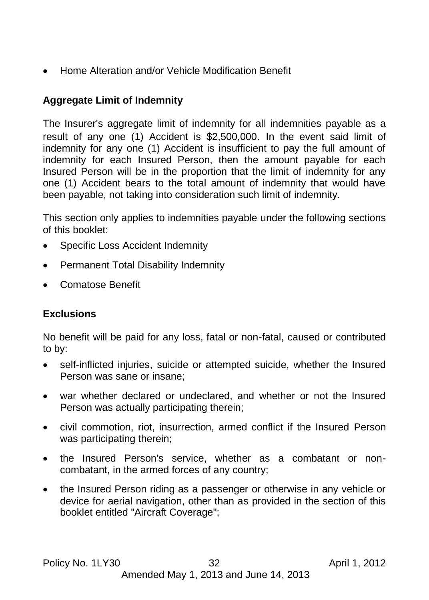Home Alteration and/or Vehicle Modification Benefit

# <span id="page-31-0"></span>**Aggregate Limit of Indemnity**

The Insurer's aggregate limit of indemnity for all indemnities payable as a result of any one (1) Accident is \$2,500,000. In the event said limit of indemnity for any one (1) Accident is insufficient to pay the full amount of indemnity for each Insured Person, then the amount payable for each Insured Person will be in the proportion that the limit of indemnity for any one (1) Accident bears to the total amount of indemnity that would have been payable, not taking into consideration such limit of indemnity.

This section only applies to indemnities payable under the following sections of this booklet:

- Specific Loss Accident Indemnity
- Permanent Total Disability Indemnity
- Comatose Benefit

# <span id="page-31-1"></span>**Exclusions**

No benefit will be paid for any loss, fatal or non-fatal, caused or contributed to by:

- self-inflicted injuries, suicide or attempted suicide, whether the Insured Person was sane or insane;
- war whether declared or undeclared, and whether or not the Insured Person was actually participating therein;
- civil commotion, riot, insurrection, armed conflict if the Insured Person was participating therein;
- the Insured Person's service, whether as a combatant or noncombatant, in the armed forces of any country;
- the Insured Person riding as a passenger or otherwise in any vehicle or device for aerial navigation, other than as provided in the section of this booklet entitled "Aircraft Coverage";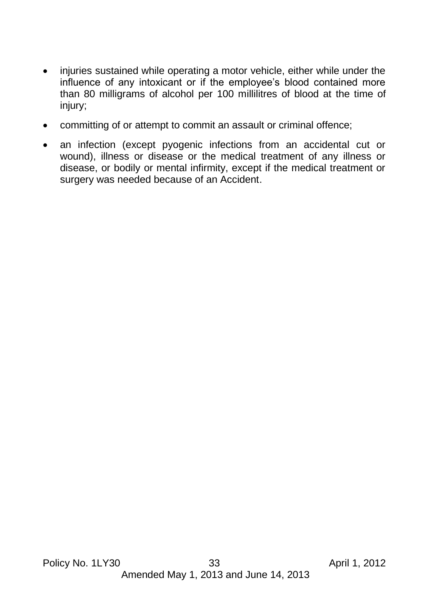- injuries sustained while operating a motor vehicle, either while under the influence of any intoxicant or if the employee's blood contained more than 80 milligrams of alcohol per 100 millilitres of blood at the time of injury;
- committing of or attempt to commit an assault or criminal offence;
- an infection (except pyogenic infections from an accidental cut or wound), illness or disease or the medical treatment of any illness or disease, or bodily or mental infirmity, except if the medical treatment or surgery was needed because of an Accident.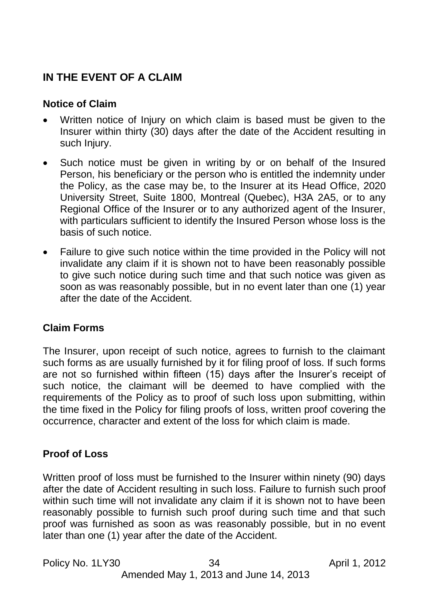# <span id="page-33-1"></span><span id="page-33-0"></span>**IN THE EVENT OF A CLAIM**

## **Notice of Claim**

- Written notice of Injury on which claim is based must be given to the Insurer within thirty (30) days after the date of the Accident resulting in such Injury.
- Such notice must be given in writing by or on behalf of the Insured Person, his beneficiary or the person who is entitled the indemnity under the Policy, as the case may be, to the Insurer at its Head Office, 2020 University Street, Suite 1800, Montreal (Quebec), H3A 2A5, or to any Regional Office of the Insurer or to any authorized agent of the Insurer, with particulars sufficient to identify the Insured Person whose loss is the basis of such notice.
- Failure to give such notice within the time provided in the Policy will not invalidate any claim if it is shown not to have been reasonably possible to give such notice during such time and that such notice was given as soon as was reasonably possible, but in no event later than one (1) year after the date of the Accident.

## <span id="page-33-2"></span>**Claim Forms**

The Insurer, upon receipt of such notice, agrees to furnish to the claimant such forms as are usually furnished by it for filing proof of loss. If such forms are not so furnished within fifteen (15) days after the Insurer's receipt of such notice, the claimant will be deemed to have complied with the requirements of the Policy as to proof of such loss upon submitting, within the time fixed in the Policy for filing proofs of loss, written proof covering the occurrence, character and extent of the loss for which claim is made.

## <span id="page-33-3"></span>**Proof of Loss**

Written proof of loss must be furnished to the Insurer within ninety (90) days after the date of Accident resulting in such loss. Failure to furnish such proof within such time will not invalidate any claim if it is shown not to have been reasonably possible to furnish such proof during such time and that such proof was furnished as soon as was reasonably possible, but in no event later than one (1) year after the date of the Accident.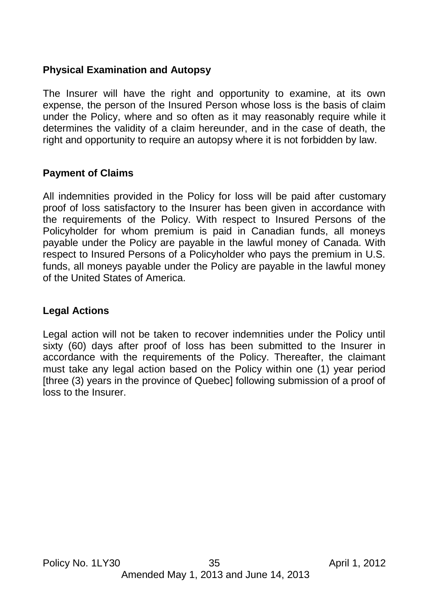## <span id="page-34-0"></span>**Physical Examination and Autopsy**

The Insurer will have the right and opportunity to examine, at its own expense, the person of the Insured Person whose loss is the basis of claim under the Policy, where and so often as it may reasonably require while it determines the validity of a claim hereunder, and in the case of death, the right and opportunity to require an autopsy where it is not forbidden by law.

#### <span id="page-34-1"></span>**Payment of Claims**

All indemnities provided in the Policy for loss will be paid after customary proof of loss satisfactory to the Insurer has been given in accordance with the requirements of the Policy. With respect to Insured Persons of the Policyholder for whom premium is paid in Canadian funds, all moneys payable under the Policy are payable in the lawful money of Canada. With respect to Insured Persons of a Policyholder who pays the premium in U.S. funds, all moneys payable under the Policy are payable in the lawful money of the United States of America.

#### <span id="page-34-2"></span>**Legal Actions**

Legal action will not be taken to recover indemnities under the Policy until sixty (60) days after proof of loss has been submitted to the Insurer in accordance with the requirements of the Policy. Thereafter, the claimant must take any legal action based on the Policy within one (1) year period [three (3) years in the province of Quebec] following submission of a proof of loss to the Insurer.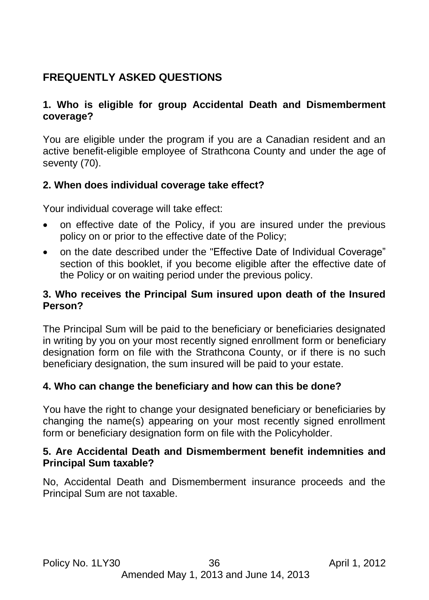# <span id="page-35-0"></span>**FREQUENTLY ASKED QUESTIONS**

## **1. Who is eligible for group Accidental Death and Dismemberment coverage?**

You are eligible under the program if you are a Canadian resident and an active benefit-eligible employee of Strathcona County and under the age of seventy (70).

## **2. When does individual coverage take effect?**

Your individual coverage will take effect:

- on effective date of the Policy, if you are insured under the previous policy on or prior to the effective date of the Policy;
- on the date described under the "Effective Date of Individual Coverage" section of this booklet, if you become eligible after the effective date of the Policy or on waiting period under the previous policy.

## **3. Who receives the Principal Sum insured upon death of the Insured Person?**

The Principal Sum will be paid to the beneficiary or beneficiaries designated in writing by you on your most recently signed enrollment form or beneficiary designation form on file with the Strathcona County, or if there is no such beneficiary designation, the sum insured will be paid to your estate.

#### **4. Who can change the beneficiary and how can this be done?**

You have the right to change your designated beneficiary or beneficiaries by changing the name(s) appearing on your most recently signed enrollment form or beneficiary designation form on file with the Policyholder.

#### **5. Are Accidental Death and Dismemberment benefit indemnities and Principal Sum taxable?**

No, Accidental Death and Dismemberment insurance proceeds and the Principal Sum are not taxable.